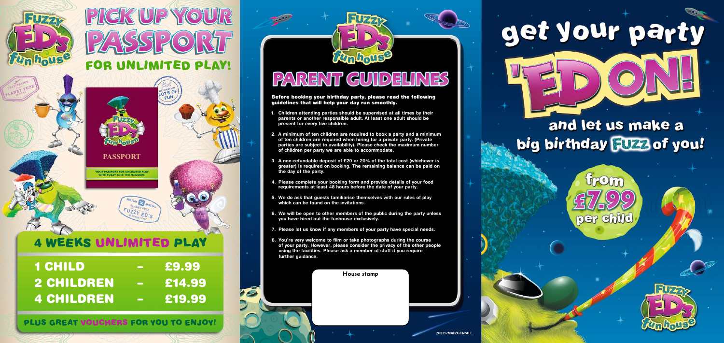

**PLANET FUZZ** DESTINATION  $^{14.07.18}_{26.07.18}$ **Airport**  $26.07 \cdot \frac{1}{58} \text{eV}$ 

Before booking your birthday party, please read the following guidelines that will help your day run smoothly.

- **1. Children attending parties should be supervised at all times by their parents or another responsible adult. At least one adult should be present for every five children.**
- **2. A minimum of ten children are required to book a party and a minimum of ten children are required when hiring for a private party. (Private parties are subject to availability). Please check the maximum number of children per party we are able to accommodate.**
- **3. A non-refundable deposit of £20 or 20% of the total cost (whichever is greater) is required on booking. The remaining balance can be paid on the day of the party.**
- **4. Please complete your booking form and provide details of your food requirements at least 48 hours before the date of your party.**
- **5. We do ask that guests familiarise themselves with our rules of play which can be found on the invitations.**
- **6. We will be open to other members of the public during the party unless you have hired out the funhouse exclusively.**
- **7. Please let us know if any members of your party have special needs.**
- **8. You're very welcome to film or take photographs during the course of your party. However, please consider the privacy of the other people using the facilities. Please ask a member of staff if you require further guidance.**

*House stamp*

 $\blacktriangleright$ 



### 4 WEEKS UNLIMITED PLAY

**PLANE<sup>T</sup>**

**<sup>P</sup><sup>L</sup> <sup>N</sup><sup>A</sup> <sup>T</sup><sup>E</sup>**

 $\frac{2}{2}$ 

# **PICK UP YOUR FOR UNLIMITED PLAY!**

| <b>1 CHILD</b>    |                          | £9.99  |
|-------------------|--------------------------|--------|
| <b>2 CHILDREN</b> |                          | £14.99 |
| <b>4 CHILDREN</b> | $\overline{\phantom{m}}$ | E19.99 |

PLUS GREAT VOUCHERS FOR YOU TO ENJOY!

## PARENT GUIDELINES

Unhouse



### and let us make a big birthday FUZZ of you!